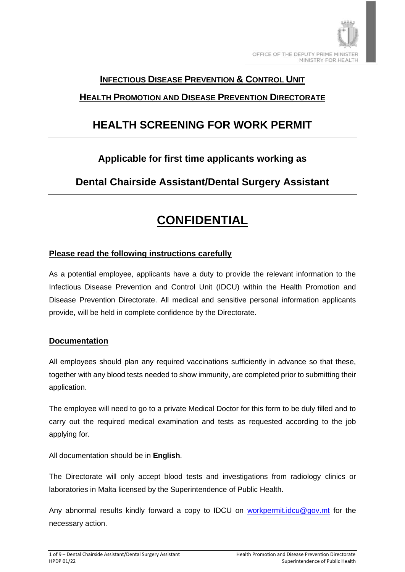

### **INFECTIOUS DISEASE PREVENTION & CONTROL UNIT**

### **HEALTH PROMOTION AND DISEASE PREVENTION DIRECTORATE**

## **HEALTH SCREENING FOR WORK PERMIT**

## **Applicable for first time applicants working as**

**Dental Chairside Assistant/Dental Surgery Assistant**

## **CONFIDENTIAL**

### **Please read the following instructions carefully**

As a potential employee, applicants have a duty to provide the relevant information to the Infectious Disease Prevention and Control Unit (IDCU) within the Health Promotion and Disease Prevention Directorate. All medical and sensitive personal information applicants provide, will be held in complete confidence by the Directorate.

### **Documentation**

All employees should plan any required vaccinations sufficiently in advance so that these, together with any blood tests needed to show immunity, are completed prior to submitting their application.

The employee will need to go to a private Medical Doctor for this form to be duly filled and to carry out the required medical examination and tests as requested according to the job applying for.

All documentation should be in **English**.

The Directorate will only accept blood tests and investigations from radiology clinics or laboratories in Malta licensed by the Superintendence of Public Health.

Any abnormal results kindly forward a copy to IDCU on [workpermit.idcu@gov.mt](mailto:workpermit.idcu@gov.mt) for the necessary action.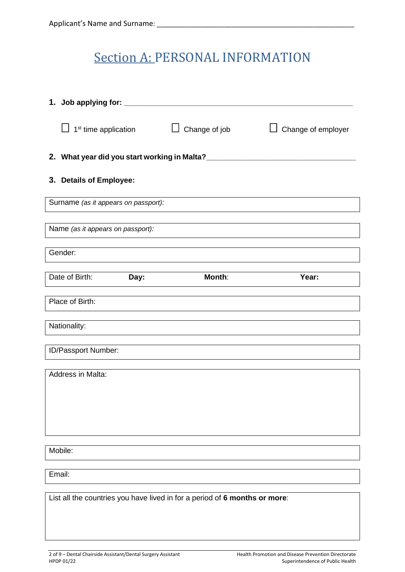## Section A: PERSONAL INFORMATION

|                                                                            |                                   | 1 <sup>st</sup> time application             | Change of job | Change of employer |
|----------------------------------------------------------------------------|-----------------------------------|----------------------------------------------|---------------|--------------------|
|                                                                            |                                   | 2. What year did you start working in Malta? |               |                    |
|                                                                            | 3. Details of Employee:           |                                              |               |                    |
|                                                                            |                                   | Surname (as it appears on passport):         |               |                    |
|                                                                            | Name (as it appears on passport): |                                              |               |                    |
|                                                                            | Gender:                           |                                              |               |                    |
|                                                                            | Date of Birth:                    | Day:                                         | Month:        | Year:              |
|                                                                            | Place of Birth:                   |                                              |               |                    |
|                                                                            | Nationality:                      |                                              |               |                    |
|                                                                            | ID/Passport Number:               |                                              |               |                    |
|                                                                            | Address in Malta:                 |                                              |               |                    |
|                                                                            | Mobile:                           |                                              |               |                    |
|                                                                            | Email:                            |                                              |               |                    |
| List all the countries you have lived in for a period of 6 months or more: |                                   |                                              |               |                    |
|                                                                            |                                   |                                              |               |                    |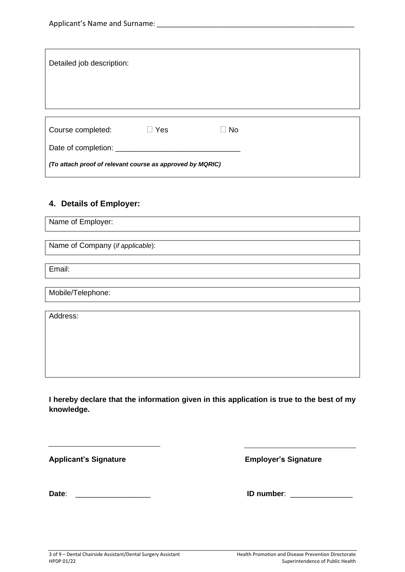| Detailed job description:                                 |     |           |  |  |
|-----------------------------------------------------------|-----|-----------|--|--|
| Course completed:                                         | Yes | <b>No</b> |  |  |
| (To attach proof of relevant course as approved by MQRIC) |     |           |  |  |

#### **4. Details of Employer:**

Name of Employer:

Name of Company (*if applicable*):

Email:

Mobile/Telephone:

Address:

**I hereby declare that the information given in this application is true to the best of my knowledge.**

Applicant's Signature **Applicant's Signature Employer's Signature** 

 $\overline{a}$ 

**Date**: \_\_\_\_\_\_\_\_\_\_\_\_\_\_\_\_\_\_ **ID number**: \_\_\_\_\_\_\_\_\_\_\_\_\_\_\_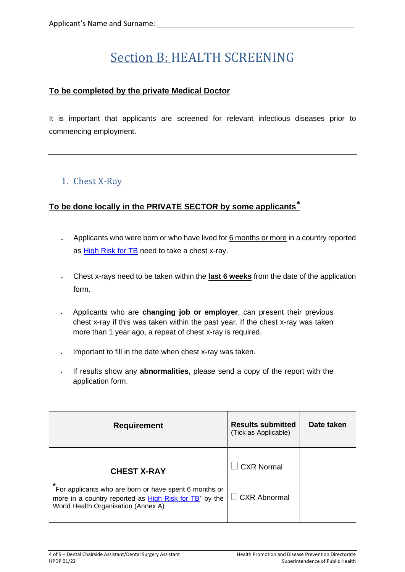# Section B: HEALTH SCREENING

### **To be completed by the private Medical Doctor**

It is important that applicants are screened for relevant infectious diseases prior to commencing employment.

## 1. Chest X-Ray

### **To be done locally in the PRIVATE SECTOR by some applicants**

- Applicants who were born or who have lived for 6 months or more in a country reported as [High Risk for TB](https://deputyprimeminister.gov.mt/en/health-promotion/idpcu/Documents/HIGH%20RISK%20TUBERCULOSIS%20COUNTRY%20LIST.pdf) need to take a chest x-ray.
- Chest x-rays need to be taken within the **last 6 weeks** from the date of the application form.
- Applicants who are **changing job or employer**, can present their previous chest x-ray if this was taken within the past year. If the chest x-ray was taken more than 1 year ago, a repeat of chest x-ray is required.
- Important to fill in the date when chest x-ray was taken.
- If results show any **abnormalities**, please send a copy of the report with the application form.

| <b>Requirement</b>                                                                                                                                                 | <b>Results submitted</b><br>(Tick as Applicable) | Date taken |
|--------------------------------------------------------------------------------------------------------------------------------------------------------------------|--------------------------------------------------|------------|
| <b>CHEST X-RAY</b>                                                                                                                                                 | <b>CXR Normal</b>                                |            |
| For applicants who are born or have spent 6 months or<br>more in a country reported as High Risk for TB <sup>*</sup> by the<br>World Health Organisation (Annex A) | $\Box$ CXR Abnormal                              |            |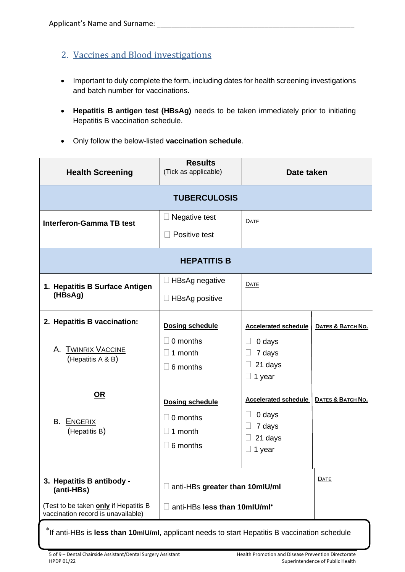- 2. Vaccines and Blood investigations
- Important to duly complete the form, including dates for health screening investigations and batch number for vaccinations.
- **Hepatitis B antigen test (HBsAg)** needs to be taken immediately prior to initiating Hepatitis B vaccination schedule.
- Only follow the below-listed **vaccination schedule**.

| <b>Health Screening</b>                                                          | <b>Results</b><br>(Tick as applicable)                                               | Date taken                                                                            |                   |  |
|----------------------------------------------------------------------------------|--------------------------------------------------------------------------------------|---------------------------------------------------------------------------------------|-------------------|--|
| <b>TUBERCULOSIS</b>                                                              |                                                                                      |                                                                                       |                   |  |
| <b>Interferon-Gamma TB test</b>                                                  | Negative test<br>$\Box$<br>Positive test                                             | DATE                                                                                  |                   |  |
| <b>HEPATITIS B</b>                                                               |                                                                                      |                                                                                       |                   |  |
| 1. Hepatitis B Surface Antigen<br>(HBsAg)                                        | <b>HBsAg negative</b><br>Ц<br>$\Box$ HBsAg positive                                  | <b>DATE</b>                                                                           |                   |  |
| 2. Hepatitis B vaccination:<br><b>TWINRIX VACCINE</b><br>Α.<br>(Hepatitis A & B) | <b>Dosing schedule</b><br>0 months<br>$\Box$<br>1 month<br>$\Box$<br>$\Box$ 6 months | <b>Accelerated schedule</b><br>0 days<br>7 days<br>21 days<br>$\Box$<br>$\Box$ 1 year | DATES & BATCH NO. |  |
| <u>OR</u><br>B. ENGERIX<br>(Hepatitis B)                                         | <b>Dosing schedule</b><br>$\Box$ 0 months<br>1 month<br>$\Box$<br>6 months<br>$\Box$ | <b>Accelerated schedule</b><br>0 days<br>7 days<br>21 days<br>1 year                  | DATES & BATCH NO. |  |
| 3. Hepatitis B antibody -<br>(anti-HBs)<br>(Test to be taken only if Hepatitis B | anti-HBs greater than 10mlU/ml<br>anti-HBs less than 10mlU/ml*<br>$\Box$             |                                                                                       | <b>DATE</b>       |  |
| vaccination record is unavailable)                                               |                                                                                      |                                                                                       |                   |  |

If anti-HBs is **less than 10mIU/ml**, applicant needs to start Hepatitis B vaccination schedule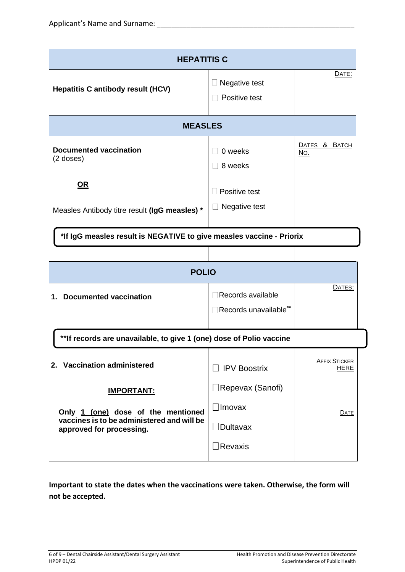| <b>HEPATITIS C</b>                                                                                                                |                                                                               |                              |  |  |
|-----------------------------------------------------------------------------------------------------------------------------------|-------------------------------------------------------------------------------|------------------------------|--|--|
| <b>Hepatitis C antibody result (HCV)</b>                                                                                          | Negative test<br>Positive test                                                | DATE:                        |  |  |
| <b>MEASLES</b>                                                                                                                    |                                                                               |                              |  |  |
| <b>Documented vaccination</b><br>$(2$ doses)                                                                                      | 0 weeks<br>8 weeks                                                            | DATES & BATCH<br><u>No.</u>  |  |  |
| <u>OR</u><br>Measles Antibody titre result (IgG measles) *                                                                        | Positive test<br>Negative test                                                |                              |  |  |
| *If IgG measles result is NEGATIVE to give measles vaccine - Priorix                                                              |                                                                               |                              |  |  |
|                                                                                                                                   |                                                                               |                              |  |  |
| <b>POLIO</b>                                                                                                                      |                                                                               |                              |  |  |
| <b>Documented vaccination</b><br>1.                                                                                               | $\Box$ Records available<br>Records unavailable**                             | DATES:                       |  |  |
| ** If records are unavailable, to give 1 (one) dose of Polio vaccine                                                              |                                                                               |                              |  |  |
| 2. Vaccination administered                                                                                                       | $\Box$ IPV Boostrix                                                           | <b>AFFIX STICKER</b><br>HERE |  |  |
| <b>IMPORTANT:</b><br>Only 1 (one) dose of the mentioned<br>vaccines is to be administered and will be<br>approved for processing. | $\Box$ Repevax (Sanofi)<br>$\Box$ Imovax<br>$\Box$ Dultavax<br>$\Box$ Revaxis | <b>DATE</b>                  |  |  |

**Important to state the dates when the vaccinations were taken. Otherwise, the form will not be accepted.**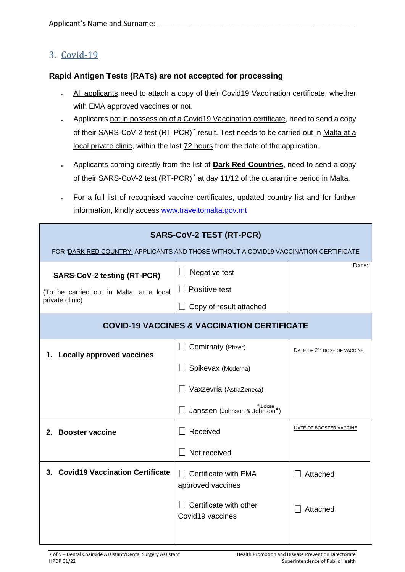### 3. Covid-19

#### **Rapid Antigen Tests (RATs) are not accepted for processing**

- All applicants need to attach a copy of their Covid19 Vaccination certificate, whether with EMA approved vaccines or not.
- Applicants not in possession of a Covid19 Vaccination certificate, need to send a copy of their SARS-CoV-2 test (RT-PCR)<sup>\*</sup> result. Test needs to be carried out in Malta at a local private clinic, within the last 72 hours from the date of the application.
- Applicants coming directly from the list of **Dark Red Countries**, need to send a copy of their SARS-CoV-2 test (RT-PCR) \* at day 11/12 of the quarantine period in Malta.
- For a full list of recognised vaccine certificates, updated country list and for further information, kindly access [www.traveltomalta.gov.mt](http://www.traveltomalta.gov.mt/)

| <b>SARS-CoV-2 TEST (RT-PCR)</b><br>FOR 'DARK RED COUNTRY' APPLICANTS AND THOSE WITHOUT A COVID19 VACCINATION CERTIFICATE |                                                                                                                |                                         |  |  |
|--------------------------------------------------------------------------------------------------------------------------|----------------------------------------------------------------------------------------------------------------|-----------------------------------------|--|--|
| <b>SARS-CoV-2 testing (RT-PCR)</b><br>(To be carried out in Malta, at a local<br>private clinic)                         | Negative test<br>Positive test<br>Copy of result attached                                                      | DATE:                                   |  |  |
| <b>COVID-19 VACCINES &amp; VACCINATION CERTIFICATE</b>                                                                   |                                                                                                                |                                         |  |  |
| 1. Locally approved vaccines                                                                                             | Comirnaty (Pfizer)<br>Spikevax (Moderna)<br>Vaxzevria (AstraZeneca)<br>'1 dose<br>Janssen (Johnson & Johnson*) | DATE OF 2 <sup>ND</sup> DOSE OF VACCINE |  |  |
| 2. Booster vaccine                                                                                                       | Received<br>Not received                                                                                       | DATE OF BOOSTER VACCINE                 |  |  |
| 3. Covid19 Vaccination Certificate                                                                                       | Certificate with EMA<br>approved vaccines<br>Certificate with other<br>Covid19 vaccines                        | Attached<br>Attached                    |  |  |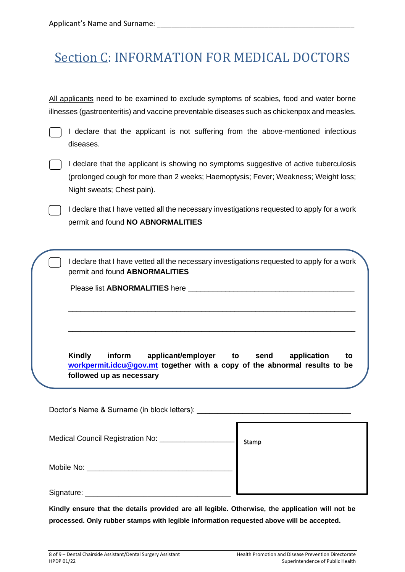# Section C: INFORMATION FOR MEDICAL DOCTORS

All applicants need to be examined to exclude symptoms of scabies, food and water borne illnesses (gastroenteritis) and vaccine preventable diseases such as chickenpox and measles.

I declare that the applicant is not suffering from the above-mentioned infectious diseases.



I declare that the applicant is showing no symptoms suggestive of active tuberculosis (prolonged cough for more than 2 weeks; Haemoptysis; Fever; Weakness; Weight loss; Night sweats; Chest pain).

I declare that I have vetted all the necessary investigations requested to apply for a work permit and found **NO ABNORMALITIES**

I declare that I have vetted all the necessary investigations requested to apply for a work permit and found **ABNORMALITIES**

\_\_\_\_\_\_\_\_\_\_\_\_\_\_\_\_\_\_\_\_\_\_\_\_\_\_\_\_\_\_\_\_\_\_\_\_\_\_\_\_\_\_\_\_\_\_\_\_\_\_\_\_\_\_\_\_\_\_\_\_\_\_\_\_\_\_\_\_\_

\_\_\_\_\_\_\_\_\_\_\_\_\_\_\_\_\_\_\_\_\_\_\_\_\_\_\_\_\_\_\_\_\_\_\_\_\_\_\_\_\_\_\_\_\_\_\_\_\_\_\_\_\_\_\_\_\_\_\_\_\_\_\_\_\_\_\_\_\_

Please list **ABNORMALITIES** here **with a set of the set of the set of the set of the set of the set of the set of the set of the set of the set of the set of the set of the set of the set of the set of the set of the set o** 

**Kindly inform applicant/employer to send application to [workpermit.idcu@gov.mt](mailto:workpermit.idcu@gov.mt) together with a copy of the abnormal results to be followed up as necessary**

Doctor's Name & Surname (in block letters): Medical Council Registration No: \_\_\_\_\_\_\_\_\_\_\_\_ Mobile No: **Example 10** Signature: \_\_\_\_\_\_\_\_\_\_\_\_\_\_\_\_\_\_\_\_\_\_\_\_\_\_\_\_\_\_\_\_\_\_\_ Stamp

**Kindly ensure that the details provided are all legible. Otherwise, the application will not be processed. Only rubber stamps with legible information requested above will be accepted.**